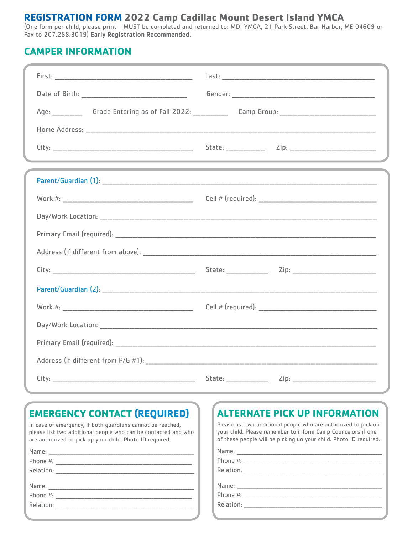## **REGISTRATION FORM 2022 Camp Cadillac Mount Desert Island YMCA**

(One form per child, please print - MUST be completed and returned to: MDI YMCA, 21 Park Street, Bar Harbor, ME 04609 or Fax to 207.288.3019) Early Registration Recommended.

#### **CAMPER INFORMATION**

|                                                                                  | Age: ______________ Grade Entering as of Fall 2022: _______________ Camp Group: _______________________________ |  |
|----------------------------------------------------------------------------------|-----------------------------------------------------------------------------------------------------------------|--|
|                                                                                  |                                                                                                                 |  |
|                                                                                  |                                                                                                                 |  |
| ,我们也不能在这里,我们也不能在这里的时候,我们也不能会在这里,我们也不能会在这里,我们也不能会在这里的时候,我们也不能会在这里,我们也不能会不能会不能会不能会 |                                                                                                                 |  |
|                                                                                  |                                                                                                                 |  |
|                                                                                  |                                                                                                                 |  |
|                                                                                  |                                                                                                                 |  |
|                                                                                  |                                                                                                                 |  |
|                                                                                  |                                                                                                                 |  |
|                                                                                  |                                                                                                                 |  |
|                                                                                  |                                                                                                                 |  |
|                                                                                  |                                                                                                                 |  |
|                                                                                  |                                                                                                                 |  |
|                                                                                  |                                                                                                                 |  |
|                                                                                  |                                                                                                                 |  |
|                                                                                  |                                                                                                                 |  |

# **EMERGENCY CONTACT (REQUIRED)**

In case of emergency, if both guardians cannot be reached, please list two additional people who can be contacted and who are authorized to pick up your child. Photo ID required.

| Name:     |                                                                                                                                                                                                                                |
|-----------|--------------------------------------------------------------------------------------------------------------------------------------------------------------------------------------------------------------------------------|
| Phone #:  |                                                                                                                                                                                                                                |
| Relation: |                                                                                                                                                                                                                                |
|           |                                                                                                                                                                                                                                |
|           |                                                                                                                                                                                                                                |
|           | Phone #: the contract of the contract of the contract of the contract of the contract of the contract of the contract of the contract of the contract of the contract of the contract of the contract of the contract of the c |
| Relation: |                                                                                                                                                                                                                                |
|           |                                                                                                                                                                                                                                |

# **ALTERNATE PICK UP INFORMATION**

Please list two additional people who are authorized to pick up your child. Please remember to inform Camp Councelors if one of these people will be picking uo your child. Photo ID required.

| Name:                                                                                                           |  |
|-----------------------------------------------------------------------------------------------------------------|--|
| Phone #: 2008 2012 2022 2023 2024 2022 2023 2024 2022 2023 2024 2022 2023 2024 2022 2023 2024 2022 2023 2024 20 |  |
| Relation:                                                                                                       |  |
| Name:                                                                                                           |  |
| Phone #:                                                                                                        |  |
| Relation:                                                                                                       |  |
|                                                                                                                 |  |